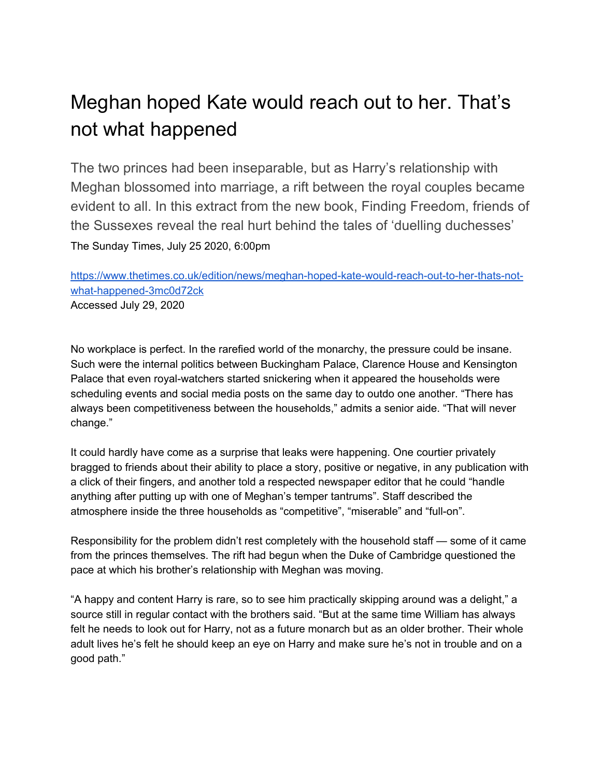## Meghan hoped Kate would reach out to her. That's not what happened

The two princes had been inseparable, but as Harry's relationship with Meghan blossomed into marriage, a rift between the royal couples became evident to all. In this extract from the new book, Finding Freedom, friends of the Sussexes reveal the real hurt behind the tales of 'duelling duchesses' The Sunday Times, July 25 2020, 6:00pm

[https://www.thetimes.co.uk/edition/news/meghan-hoped-kate-would-reach-out-to-her-thats-not](https://www.thetimes.co.uk/edition/news/meghan-hoped-kate-would-reach-out-to-her-thats-not-what-happened-3mc0d72ck)[what-happened-3mc0d72ck](https://www.thetimes.co.uk/edition/news/meghan-hoped-kate-would-reach-out-to-her-thats-not-what-happened-3mc0d72ck) Accessed July 29, 2020

No workplace is perfect. In the rarefied world of the monarchy, the pressure could be insane. Such were the internal politics between Buckingham Palace, Clarence House and Kensington Palace that even royal-watchers started snickering when it appeared the households were scheduling events and social media posts on the same day to outdo one another. "There has always been competitiveness between the households," admits a senior aide. "That will never change."

It could hardly have come as a surprise that leaks were happening. One courtier privately bragged to friends about their ability to place a story, positive or negative, in any publication with a click of their fingers, and another told a respected newspaper editor that he could "handle anything after putting up with one of Meghan's temper tantrums". Staff described the atmosphere inside the three households as "competitive", "miserable" and "full-on".

Responsibility for the problem didn't rest completely with the household staff — some of it came from the princes themselves. The rift had begun when the Duke of Cambridge questioned the pace at which his brother's relationship with Meghan was moving.

"A happy and content Harry is rare, so to see him practically skipping around was a delight," a source still in regular contact with the brothers said. "But at the same time William has always felt he needs to look out for Harry, not as a future monarch but as an older brother. Their whole adult lives he's felt he should keep an eye on Harry and make sure he's not in trouble and on a good path."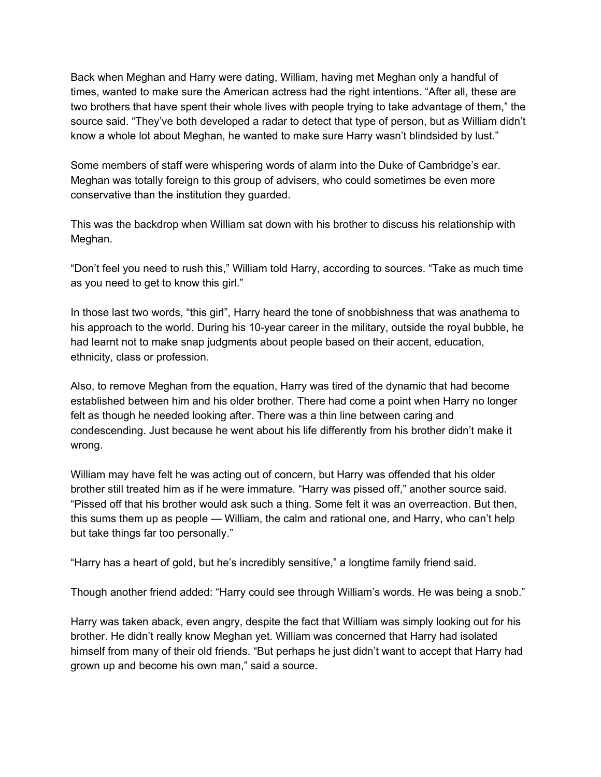Back when Meghan and Harry were dating, William, having met Meghan only a handful of times, wanted to make sure the American actress had the right intentions. "After all, these are two brothers that have spent their whole lives with people trying to take advantage of them," the source said. "They've both developed a radar to detect that type of person, but as William didn't know a whole lot about Meghan, he wanted to make sure Harry wasn't blindsided by lust."

Some members of staff were whispering words of alarm into the Duke of Cambridge's ear. Meghan was totally foreign to this group of advisers, who could sometimes be even more conservative than the institution they guarded.

This was the backdrop when William sat down with his brother to discuss his relationship with Meghan.

"Don't feel you need to rush this," William told Harry, according to sources. "Take as much time as you need to get to know this girl."

In those last two words, "this girl", Harry heard the tone of snobbishness that was anathema to his approach to the world. During his 10-year career in the military, outside the royal bubble, he had learnt not to make snap judgments about people based on their accent, education, ethnicity, class or profession.

Also, to remove Meghan from the equation, Harry was tired of the dynamic that had become established between him and his older brother. There had come a point when Harry no longer felt as though he needed looking after. There was a thin line between caring and condescending. Just because he went about his life differently from his brother didn't make it wrong.

William may have felt he was acting out of concern, but Harry was offended that his older brother still treated him as if he were immature. "Harry was pissed off," another source said. "Pissed off that his brother would ask such a thing. Some felt it was an overreaction. But then, this sums them up as people — William, the calm and rational one, and Harry, who can't help but take things far too personally."

"Harry has a heart of gold, but he's incredibly sensitive," a longtime family friend said.

Though another friend added: "Harry could see through William's words. He was being a snob."

Harry was taken aback, even angry, despite the fact that William was simply looking out for his brother. He didn't really know Meghan yet. William was concerned that Harry had isolated himself from many of their old friends. "But perhaps he just didn't want to accept that Harry had grown up and become his own man," said a source.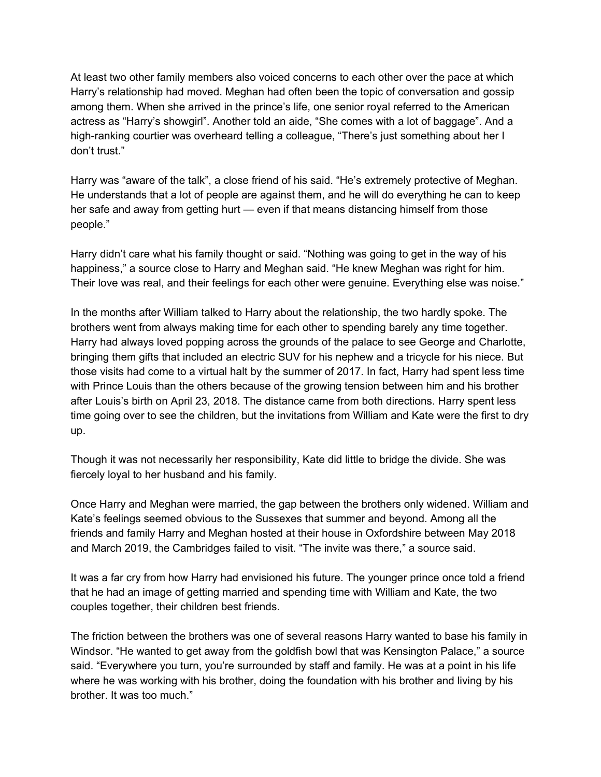At least two other family members also voiced concerns to each other over the pace at which Harry's relationship had moved. Meghan had often been the topic of conversation and gossip among them. When she arrived in the prince's life, one senior royal referred to the American actress as "Harry's showgirl". Another told an aide, "She comes with a lot of baggage". And a high-ranking courtier was overheard telling a colleague, "There's just something about her I don't trust."

Harry was "aware of the talk", a close friend of his said. "He's extremely protective of Meghan. He understands that a lot of people are against them, and he will do everything he can to keep her safe and away from getting hurt — even if that means distancing himself from those people."

Harry didn't care what his family thought or said. "Nothing was going to get in the way of his happiness," a source close to Harry and Meghan said. "He knew Meghan was right for him. Their love was real, and their feelings for each other were genuine. Everything else was noise."

In the months after William talked to Harry about the relationship, the two hardly spoke. The brothers went from always making time for each other to spending barely any time together. Harry had always loved popping across the grounds of the palace to see George and Charlotte, bringing them gifts that included an electric SUV for his nephew and a tricycle for his niece. But those visits had come to a virtual halt by the summer of 2017. In fact, Harry had spent less time with Prince Louis than the others because of the growing tension between him and his brother after Louis's birth on April 23, 2018. The distance came from both directions. Harry spent less time going over to see the children, but the invitations from William and Kate were the first to dry up.

Though it was not necessarily her responsibility, Kate did little to bridge the divide. She was fiercely loyal to her husband and his family.

Once Harry and Meghan were married, the gap between the brothers only widened. William and Kate's feelings seemed obvious to the Sussexes that summer and beyond. Among all the friends and family Harry and Meghan hosted at their house in Oxfordshire between May 2018 and March 2019, the Cambridges failed to visit. "The invite was there," a source said.

It was a far cry from how Harry had envisioned his future. The younger prince once told a friend that he had an image of getting married and spending time with William and Kate, the two couples together, their children best friends.

The friction between the brothers was one of several reasons Harry wanted to base his family in Windsor. "He wanted to get away from the goldfish bowl that was Kensington Palace," a source said. "Everywhere you turn, you're surrounded by staff and family. He was at a point in his life where he was working with his brother, doing the foundation with his brother and living by his brother. It was too much."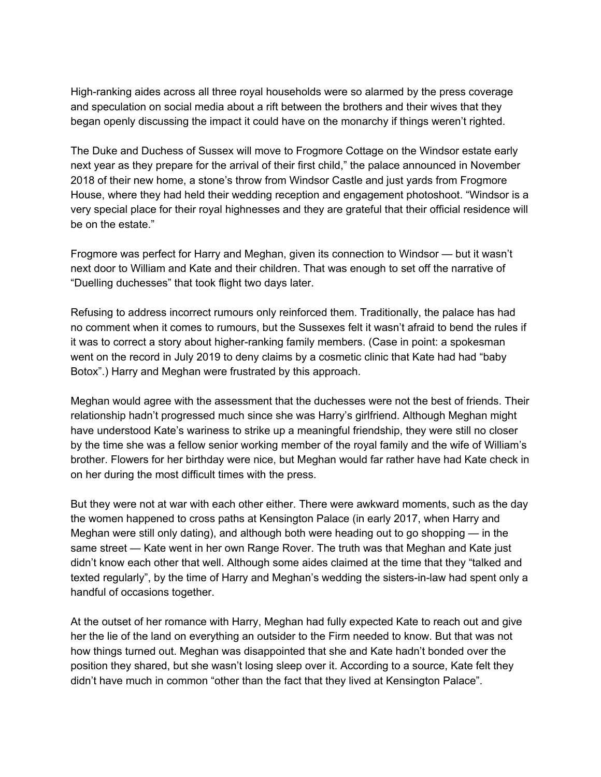High-ranking aides across all three royal households were so alarmed by the press coverage and speculation on social media about a rift between the brothers and their wives that they began openly discussing the impact it could have on the monarchy if things weren't righted.

The Duke and Duchess of Sussex will move to Frogmore Cottage on the Windsor estate early next year as they prepare for the arrival of their first child," the palace announced in November 2018 of their new home, a stone's throw from Windsor Castle and just yards from Frogmore House, where they had held their wedding reception and engagement photoshoot. "Windsor is a very special place for their royal highnesses and they are grateful that their official residence will be on the estate."

Frogmore was perfect for Harry and Meghan, given its connection to Windsor — but it wasn't next door to William and Kate and their children. That was enough to set off the narrative of "Duelling duchesses" that took flight two days later.

Refusing to address incorrect rumours only reinforced them. Traditionally, the palace has had no comment when it comes to rumours, but the Sussexes felt it wasn't afraid to bend the rules if it was to correct a story about higher-ranking family members. (Case in point: a spokesman went on the record in July 2019 to deny claims by a cosmetic clinic that Kate had had "baby Botox".) Harry and Meghan were frustrated by this approach.

Meghan would agree with the assessment that the duchesses were not the best of friends. Their relationship hadn't progressed much since she was Harry's girlfriend. Although Meghan might have understood Kate's wariness to strike up a meaningful friendship, they were still no closer by the time she was a fellow senior working member of the royal family and the wife of William's brother. Flowers for her birthday were nice, but Meghan would far rather have had Kate check in on her during the most difficult times with the press.

But they were not at war with each other either. There were awkward moments, such as the day the women happened to cross paths at Kensington Palace (in early 2017, when Harry and Meghan were still only dating), and although both were heading out to go shopping — in the same street — Kate went in her own Range Rover. The truth was that Meghan and Kate just didn't know each other that well. Although some aides claimed at the time that they "talked and texted regularly", by the time of Harry and Meghan's wedding the sisters-in-law had spent only a handful of occasions together.

At the outset of her romance with Harry, Meghan had fully expected Kate to reach out and give her the lie of the land on everything an outsider to the Firm needed to know. But that was not how things turned out. Meghan was disappointed that she and Kate hadn't bonded over the position they shared, but she wasn't losing sleep over it. According to a source, Kate felt they didn't have much in common "other than the fact that they lived at Kensington Palace".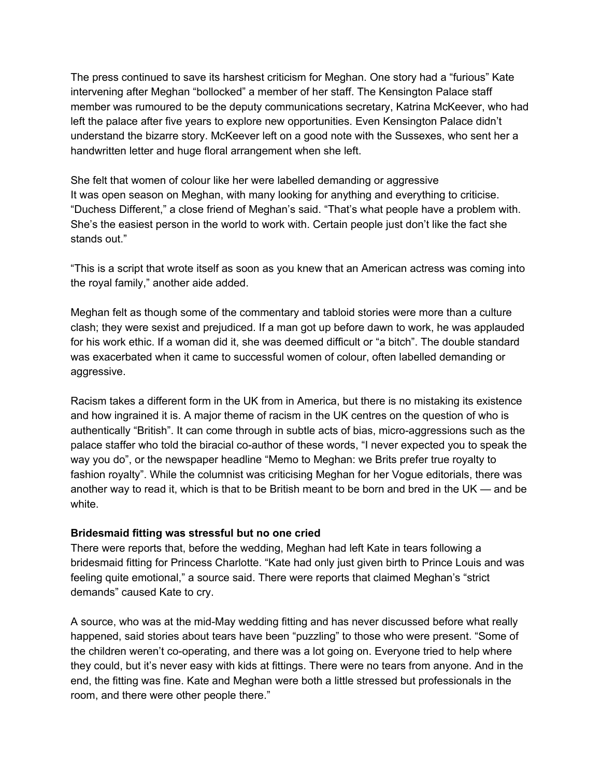The press continued to save its harshest criticism for Meghan. One story had a "furious" Kate intervening after Meghan "bollocked" a member of her staff. The Kensington Palace staff member was rumoured to be the deputy communications secretary, Katrina McKeever, who had left the palace after five years to explore new opportunities. Even Kensington Palace didn't understand the bizarre story. McKeever left on a good note with the Sussexes, who sent her a handwritten letter and huge floral arrangement when she left.

She felt that women of colour like her were labelled demanding or aggressive It was open season on Meghan, with many looking for anything and everything to criticise. "Duchess Different," a close friend of Meghan's said. "That's what people have a problem with. She's the easiest person in the world to work with. Certain people just don't like the fact she stands out."

"This is a script that wrote itself as soon as you knew that an American actress was coming into the royal family," another aide added.

Meghan felt as though some of the commentary and tabloid stories were more than a culture clash; they were sexist and prejudiced. If a man got up before dawn to work, he was applauded for his work ethic. If a woman did it, she was deemed difficult or "a bitch". The double standard was exacerbated when it came to successful women of colour, often labelled demanding or aggressive.

Racism takes a different form in the UK from in America, but there is no mistaking its existence and how ingrained it is. A major theme of racism in the UK centres on the question of who is authentically "British". It can come through in subtle acts of bias, micro-aggressions such as the palace staffer who told the biracial co-author of these words, "I never expected you to speak the way you do", or the newspaper headline "Memo to Meghan: we Brits prefer true royalty to fashion royalty". While the columnist was criticising Meghan for her Vogue editorials, there was another way to read it, which is that to be British meant to be born and bred in the UK — and be white.

## **Bridesmaid fitting was stressful but no one cried**

There were reports that, before the wedding, Meghan had left Kate in tears following a bridesmaid fitting for Princess Charlotte. "Kate had only just given birth to Prince Louis and was feeling quite emotional," a source said. There were reports that claimed Meghan's "strict demands" caused Kate to cry.

A source, who was at the mid-May wedding fitting and has never discussed before what really happened, said stories about tears have been "puzzling" to those who were present. "Some of the children weren't co-operating, and there was a lot going on. Everyone tried to help where they could, but it's never easy with kids at fittings. There were no tears from anyone. And in the end, the fitting was fine. Kate and Meghan were both a little stressed but professionals in the room, and there were other people there."